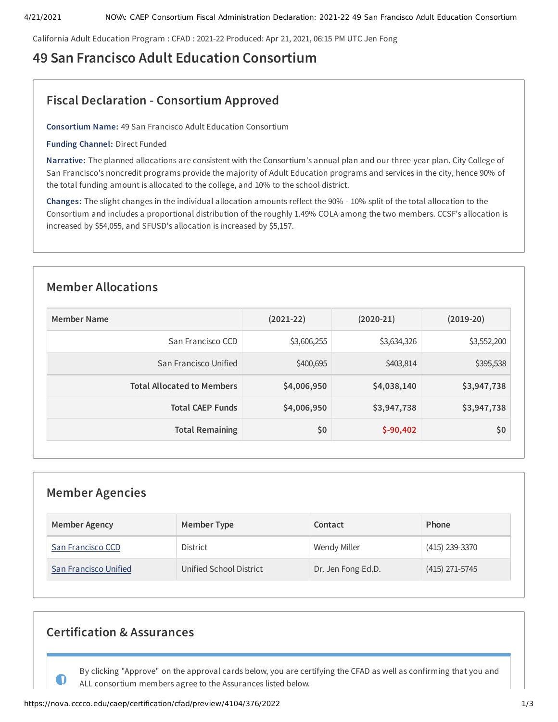California Adult Education Program : CFAD : 2021-22 Produced: Apr 21, 2021, 06:15 PM UTC Jen Fong

# **49 San Francisco Adult Education Consortium**

# **Fiscal Declaration - Consortium Approved**

**Consortium Name:** 49 San Francisco Adult Education Consortium

**Funding Channel:** Direct Funded

**Narrative:** The planned allocations are consistent with the Consortium's annual plan and our three-year plan. City College of San Francisco's noncredit programs provide the majority of Adult Education programs and services in the city, hence 90% of the total funding amount is allocated to the college, and 10% to the school district.

**Changes:** The slight changes in the individual allocation amounts reflect the 90% - 10% split of the total allocation to the Consortium and includes a proportional distribution of the roughly 1.49% COLA among the two members. CCSF's allocation is increased by \$54,055, and SFUSD's allocation is increased by \$5,157.

# **Member Allocations**

| <b>Member Name</b>                | $(2021-22)$ | $(2020-21)$ | $(2019-20)$ |
|-----------------------------------|-------------|-------------|-------------|
| San Francisco CCD                 | \$3,606,255 | \$3,634,326 | \$3,552,200 |
| San Francisco Unified             | \$400,695   | \$403,814   | \$395,538   |
| <b>Total Allocated to Members</b> | \$4,006,950 | \$4,038,140 | \$3,947,738 |
| <b>Total CAEP Funds</b>           | \$4,006,950 | \$3,947,738 | \$3,947,738 |
| <b>Total Remaining</b>            | \$0         | $$-90,402$  | \$0         |

# **Member Agencies**

| <b>Member Agency</b>  | Member Type             | Contact            | Phone            |
|-----------------------|-------------------------|--------------------|------------------|
| San Francisco CCD     | <b>District</b>         | Wendy Miller       | $(415)$ 239-3370 |
| San Francisco Unified | Unified School District | Dr. Jen Fong Ed.D. | $(415)$ 271-5745 |

# **Certification & Assurances**

By clicking "Approve" on the approval cards below, you are certifying the CFAD as well as confirming that you and ALL consortium members agree to the Assurances listed below.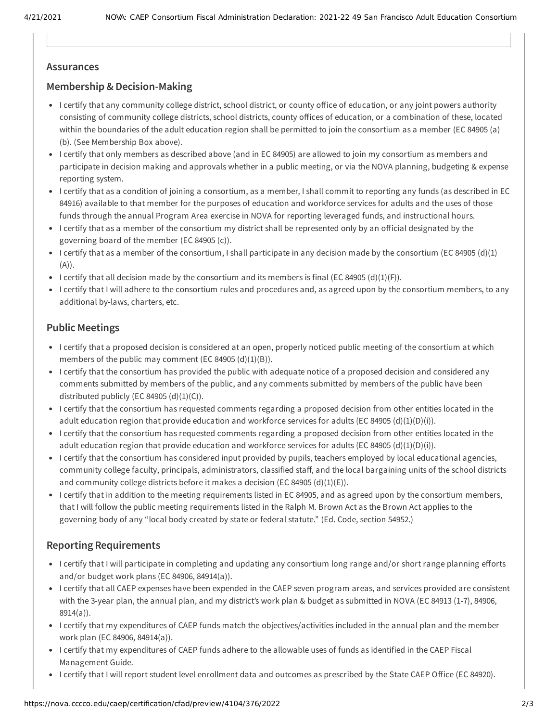## **Assurances**

## **Membership & Decision-Making**

- I certify that any community college district, school district, or county office of education, or any joint powers authority consisting of community college districts, school districts, county offices of education, or a combination of these, located within the boundaries of the adult education region shall be permitted to join the consortium as a member (EC 84905 (a) (b). (See Membership Box above).
- I certify that only members as described above (and in EC 84905) are allowed to join my consortium as members and participate in decision making and approvals whether in a public meeting, or via the NOVA planning, budgeting & expense reporting system.
- I certify that as a condition of joining a consortium, as a member, I shall commit to reporting any funds (as described in EC 84916) available to that member for the purposes of education and workforce services for adults and the uses of those funds through the annual Program Area exercise in NOVA for reporting leveraged funds, and instructional hours.
- I certify that as a member of the consortium my district shall be represented only by an official designated by the governing board of the member (EC 84905 (c)).
- I certify that as a member of the consortium, I shall participate in any decision made by the consortium (EC 84905 (d)(1) (A)).
- I certify that all decision made by the consortium and its members is final (EC 84905 (d)(1)(F)).
- I certify that I will adhere to the consortium rules and procedures and, as agreed upon by the consortium members, to any additional by-laws, charters, etc.

## **Public Meetings**

- I certify that a proposed decision is considered at an open, properly noticed public meeting of the consortium at which members of the public may comment (EC 84905  $(d)(1)(B)$ ).
- I certify that the consortium has provided the public with adequate notice of a proposed decision and considered any comments submitted by members of the public, and any comments submitted by members of the public have been distributed publicly (EC 84905  $(d)(1)(C)$ ).
- I certify that the consortium has requested comments regarding a proposed decision from other entities located in the adult education region that provide education and workforce services for adults (EC 84905 (d)(1)(D)(i)).
- I certify that the consortium has requested comments regarding a proposed decision from other entities located in the adult education region that provide education and workforce services for adults (EC 84905 (d)(1)(D)(i)).
- I certify that the consortium has considered input provided by pupils, teachers employed by local educational agencies, community college faculty, principals, administrators, classified staff, and the local bargaining units of the school districts and community college districts before it makes a decision (EC 84905  $(d)(1)(E)$ ).
- I certify that in addition to the meeting requirements listed in EC 84905, and as agreed upon by the consortium members, that I will follow the public meeting requirements listed in the Ralph M. Brown Act as the Brown Act applies to the governing body of any "local body created by state or federal statute." (Ed. Code, section 54952.)

## **Reporting Requirements**

- I certify that I will participate in completing and updating any consortium long range and/or short range planning efforts and/or budget work plans (EC 84906, 84914(a)).
- I certify that all CAEP expenses have been expended in the CAEP seven program areas, and services provided are consistent with the 3-year plan, the annual plan, and my district's work plan & budget as submitted in NOVA (EC 84913 (1-7), 84906, 8914(a)).
- I certify that my expenditures of CAEP funds match the objectives/activities included in the annual plan and the member work plan (EC 84906, 84914(a)).
- I certify that my expenditures of CAEP funds adhere to the allowable uses of funds as identified in the CAEP Fiscal Management Guide.
- I certify that I will report student level enrollment data and outcomes as prescribed by the State CAEP Office (EC 84920).